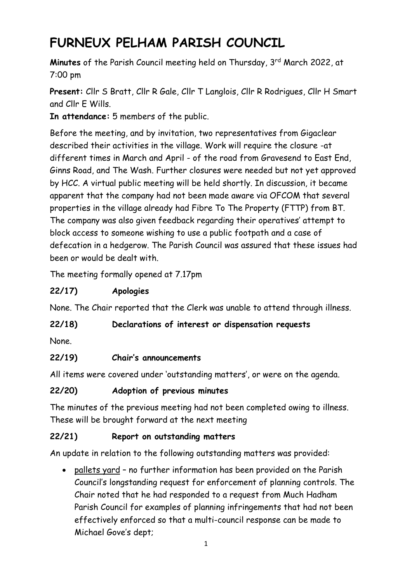# **FURNEUX PELHAM PARISH COUNCIL**

**Minutes** of the Parish Council meeting held on Thursday, 3<sup>rd</sup> March 2022, at 7:00 pm

**Present:** Cllr S Bratt, Cllr R Gale, Cllr T Langlois, Cllr R Rodrigues, Cllr H Smart and Cllr E Wills.

**In attendance:** 5 members of the public.

Before the meeting, and by invitation, two representatives from Gigaclear described their activities in the village. Work will require the closure -at different times in March and April - of the road from Gravesend to East End, Ginns Road, and The Wash. Further closures were needed but not yet approved by HCC. A virtual public meeting will be held shortly. In discussion, it became apparent that the company had not been made aware via OFCOM that several properties in the village already had Fibre To The Property (FTTP) from BT. The company was also given feedback regarding their operatives' attempt to block access to someone wishing to use a public footpath and a case of defecation in a hedgerow. The Parish Council was assured that these issues had been or would be dealt with.

The meeting formally opened at 7.17pm

## **22/17) Apologies**

None. The Chair reported that the Clerk was unable to attend through illness.

#### **22/18) Declarations of interest or dispensation requests**

None.

#### **22/19) Chair's announcements**

All items were covered under 'outstanding matters', or were on the agenda.

#### **22/20) Adoption of previous minutes**

The minutes of the previous meeting had not been completed owing to illness. These will be brought forward at the next meeting

#### **22/21) Report on outstanding matters**

An update in relation to the following outstanding matters was provided:

• pallets yard – no further information has been provided on the Parish Council's longstanding request for enforcement of planning controls. The Chair noted that he had responded to a request from Much Hadham Parish Council for examples of planning infringements that had not been effectively enforced so that a multi-council response can be made to Michael Gove's dept;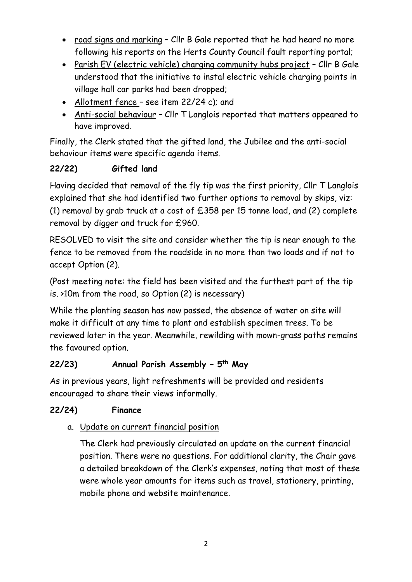- road signs and marking Cllr B Gale reported that he had heard no more following his reports on the Herts County Council fault reporting portal;
- Parish EV (electric vehicle) charging community hubs project Cllr B Gale understood that the initiative to instal electric vehicle charging points in village hall car parks had been dropped;
- Allotment fence see item 22/24 c); and
- Anti-social behaviour Cllr T Langlois reported that matters appeared to have improved.

Finally, the Clerk stated that the gifted land, the Jubilee and the anti-social behaviour items were specific agenda items.

## **22/22) Gifted land**

Having decided that removal of the fly tip was the first priority, Cllr T Langlois explained that she had identified two further options to removal by skips, viz: (1) removal by grab truck at a cost of £358 per 15 tonne load, and (2) complete removal by digger and truck for £960.

RESOLVED to visit the site and consider whether the tip is near enough to the fence to be removed from the roadside in no more than two loads and if not to accept Option (2).

(Post meeting note: the field has been visited and the furthest part of the tip is. >10m from the road, so Option (2) is necessary)

While the planting season has now passed, the absence of water on site will make it difficult at any time to plant and establish specimen trees. To be reviewed later in the year. Meanwhile, rewilding with mown-grass paths remains the favoured option.

## **22/23) Annual Parish Assembly – 5 th May**

As in previous years, light refreshments will be provided and residents encouraged to share their views informally.

#### **22/24) Finance**

#### a. Update on current financial position

The Clerk had previously circulated an update on the current financial position. There were no questions. For additional clarity, the Chair gave a detailed breakdown of the Clerk's expenses, noting that most of these were whole year amounts for items such as travel, stationery, printing, mobile phone and website maintenance.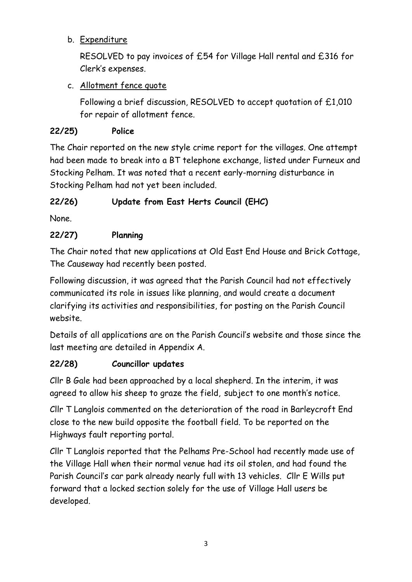### b. Expenditure

RESOLVED to pay invoices of £54 for Village Hall rental and £316 for Clerk's expenses.

## c. Allotment fence quote

Following a brief discussion, RESOLVED to accept quotation of £1,010 for repair of allotment fence.

## **22/25) Police**

The Chair reported on the new style crime report for the villages. One attempt had been made to break into a BT telephone exchange, listed under Furneux and Stocking Pelham. It was noted that a recent early-morning disturbance in Stocking Pelham had not yet been included.

## **22/26) Update from East Herts Council (EHC)**

None.

## **22/27) Planning**

The Chair noted that new applications at Old East End House and Brick Cottage, The Causeway had recently been posted.

Following discussion, it was agreed that the Parish Council had not effectively communicated its role in issues like planning, and would create a document clarifying its activities and responsibilities, for posting on the Parish Council website.

Details of all applications are on the Parish Council's website and those since the last meeting are detailed in Appendix A.

## **22/28) Councillor updates**

Cllr B Gale had been approached by a local shepherd. In the interim, it was agreed to allow his sheep to graze the field, subject to one month's notice.

Cllr T Langlois commented on the deterioration of the road in Barleycroft End close to the new build opposite the football field. To be reported on the Highways fault reporting portal.

Cllr T Langlois reported that the Pelhams Pre-School had recently made use of the Village Hall when their normal venue had its oil stolen, and had found the Parish Council's car park already nearly full with 13 vehicles. Cllr E Wills put forward that a locked section solely for the use of Village Hall users be developed.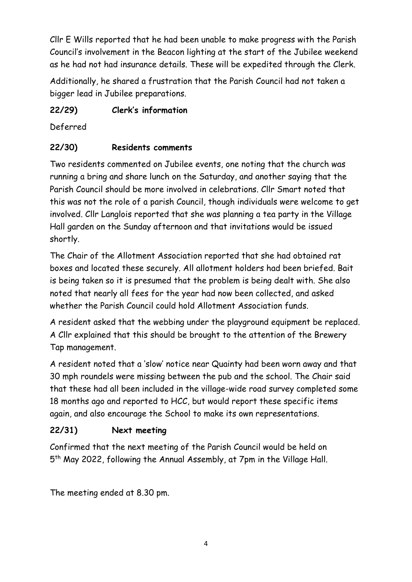Cllr E Wills reported that he had been unable to make progress with the Parish Council's involvement in the Beacon lighting at the start of the Jubilee weekend as he had not had insurance details. These will be expedited through the Clerk.

Additionally, he shared a frustration that the Parish Council had not taken a bigger lead in Jubilee preparations.

## **22/29) Clerk's information**

Deferred

## **22/30) Residents comments**

Two residents commented on Jubilee events, one noting that the church was running a bring and share lunch on the Saturday, and another saying that the Parish Council should be more involved in celebrations. Cllr Smart noted that this was not the role of a parish Council, though individuals were welcome to get involved. Cllr Langlois reported that she was planning a tea party in the Village Hall garden on the Sunday afternoon and that invitations would be issued shortly.

The Chair of the Allotment Association reported that she had obtained rat boxes and located these securely. All allotment holders had been briefed. Bait is being taken so it is presumed that the problem is being dealt with. She also noted that nearly all fees for the year had now been collected, and asked whether the Parish Council could hold Allotment Association funds.

A resident asked that the webbing under the playground equipment be replaced. A Cllr explained that this should be brought to the attention of the Brewery Tap management.

A resident noted that a 'slow' notice near Quainty had been worn away and that 30 mph roundels were missing between the pub and the school. The Chair said that these had all been included in the village-wide road survey completed some 18 months ago and reported to HCC, but would report these specific items again, and also encourage the School to make its own representations.

## **22/31) Next meeting**

Confirmed that the next meeting of the Parish Council would be held on 5<sup>th</sup> May 2022, following the Annual Assembly, at 7pm in the Village Hall.

The meeting ended at 8.30 pm.